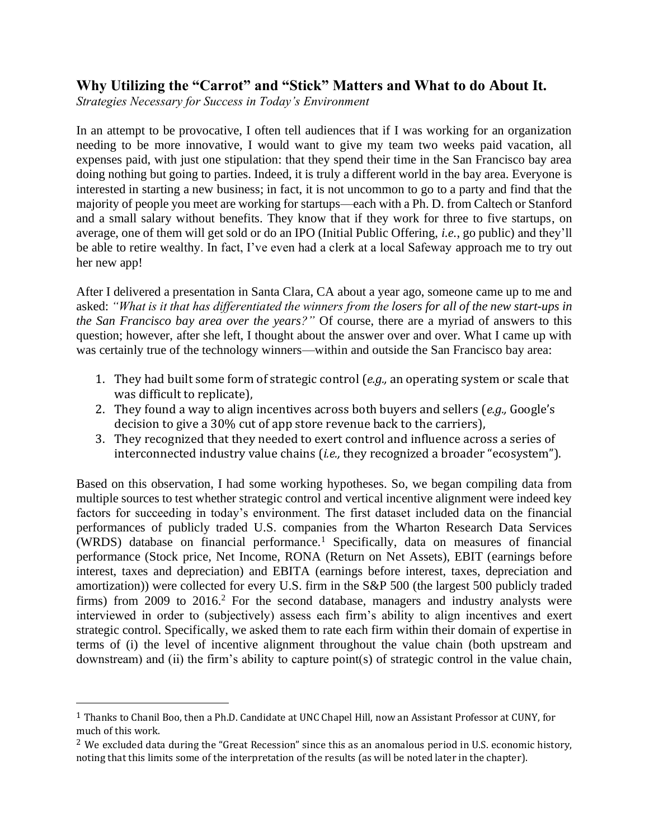# **Why Utilizing the "Carrot" and "Stick" Matters and What to do About It.**

*Strategies Necessary for Success in Today's Environment*

In an attempt to be provocative, I often tell audiences that if I was working for an organization needing to be more innovative, I would want to give my team two weeks paid vacation, all expenses paid, with just one stipulation: that they spend their time in the San Francisco bay area doing nothing but going to parties. Indeed, it is truly a different world in the bay area. Everyone is interested in starting a new business; in fact, it is not uncommon to go to a party and find that the majority of people you meet are working for startups—each with a Ph. D. from Caltech or Stanford and a small salary without benefits. They know that if they work for three to five startups, on average, one of them will get sold or do an IPO (Initial Public Offering, *i.e.*, go public) and they'll be able to retire wealthy. In fact, I've even had a clerk at a local Safeway approach me to try out her new app!

After I delivered a presentation in Santa Clara, CA about a year ago, someone came up to me and asked: *"What is it that has differentiated the winners from the losers for all of the new start-ups in the San Francisco bay area over the years?"* Of course, there are a myriad of answers to this question; however, after she left, I thought about the answer over and over. What I came up with was certainly true of the technology winners—within and outside the San Francisco bay area:

- 1. They had built some form of strategic control (*e.g.,* an operating system or scale that was difficult to replicate),
- 2. They found a way to align incentives across both buyers and sellers (*e.g.,* Google's decision to give a 30% cut of app store revenue back to the carriers),
- 3. They recognized that they needed to exert control and influence across a series of interconnected industry value chains (*i.e.,* they recognized a broader "ecosystem").

Based on this observation, I had some working hypotheses. So, we began compiling data from multiple sources to test whether strategic control and vertical incentive alignment were indeed key factors for succeeding in today's environment. The first dataset included data on the financial performances of publicly traded U.S. companies from the Wharton Research Data Services (WRDS) database on financial performance.<sup>1</sup> Specifically, data on measures of financial performance (Stock price, Net Income, RONA (Return on Net Assets), EBIT (earnings before interest, taxes and depreciation) and EBITA (earnings before interest, taxes, depreciation and amortization)) were collected for every U.S. firm in the S&P 500 (the largest 500 publicly traded firms) from 2009 to 2016.<sup>2</sup> For the second database, managers and industry analysts were interviewed in order to (subjectively) assess each firm's ability to align incentives and exert strategic control. Specifically, we asked them to rate each firm within their domain of expertise in terms of (i) the level of incentive alignment throughout the value chain (both upstream and downstream) and (ii) the firm's ability to capture point(s) of strategic control in the value chain,

<sup>&</sup>lt;sup>1</sup> Thanks to Chanil Boo, then a Ph.D. Candidate at UNC Chapel Hill, now an Assistant Professor at CUNY, for much of this work.

<sup>&</sup>lt;sup>2</sup> We excluded data during the "Great Recession" since this as an anomalous period in U.S. economic history, noting that this limits some of the interpretation of the results (as will be noted later in the chapter).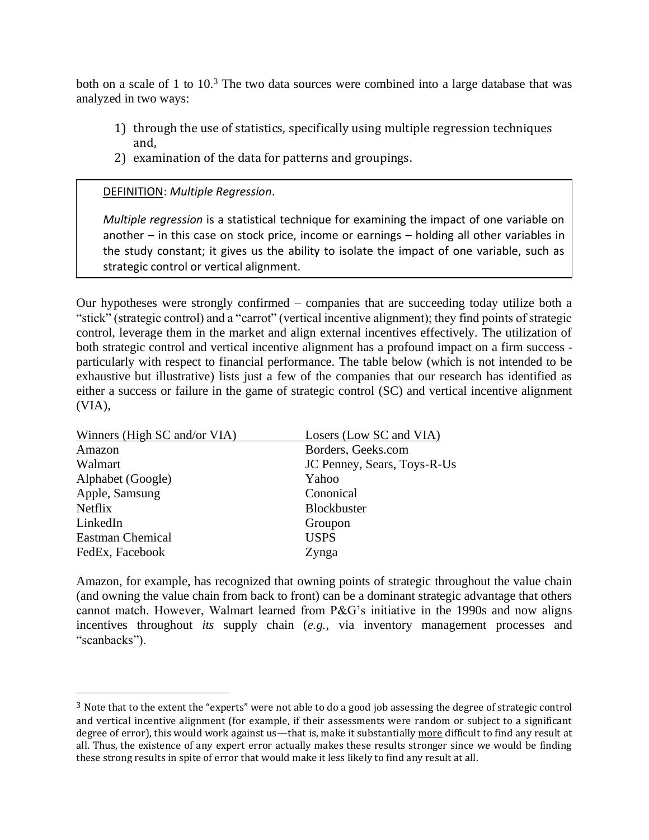both on a scale of 1 to  $10<sup>3</sup>$ . The two data sources were combined into a large database that was analyzed in two ways:

- 1) through the use of statistics, specifically using multiple regression techniques and,
- 2) examination of the data for patterns and groupings.

### DEFINITION: *Multiple Regression*.

*Multiple regression* is a statistical technique for examining the impact of one variable on another – in this case on stock price, income or earnings – holding all other variables in the study constant; it gives us the ability to isolate the impact of one variable, such as strategic control or vertical alignment.

Our hypotheses were strongly confirmed – companies that are succeeding today utilize both a "stick" (strategic control) and a "carrot" (vertical incentive alignment); they find points of strategic control, leverage them in the market and align external incentives effectively. The utilization of both strategic control and vertical incentive alignment has a profound impact on a firm success particularly with respect to financial performance. The table below (which is not intended to be exhaustive but illustrative) lists just a few of the companies that our research has identified as either a success or failure in the game of strategic control (SC) and vertical incentive alignment (VIA),

| Winners (High SC and/or VIA) | Losers (Low SC and VIA)     |  |
|------------------------------|-----------------------------|--|
| Amazon                       | Borders, Geeks.com          |  |
| Walmart                      | JC Penney, Sears, Toys-R-Us |  |
| Alphabet (Google)            | Yahoo                       |  |
| Apple, Samsung               | Cononical                   |  |
| <b>Netflix</b>               | <b>Blockbuster</b>          |  |
| LinkedIn                     | Groupon                     |  |
| <b>Eastman Chemical</b>      | <b>USPS</b>                 |  |
| FedEx, Facebook              | Zynga                       |  |
|                              |                             |  |

Amazon, for example, has recognized that owning points of strategic throughout the value chain (and owning the value chain from back to front) can be a dominant strategic advantage that others cannot match. However, Walmart learned from P&G's initiative in the 1990s and now aligns incentives throughout *its* supply chain (*e.g.,* via inventory management processes and "scanbacks").

<sup>3</sup> Note that to the extent the "experts" were not able to do a good job assessing the degree of strategic control and vertical incentive alignment (for example, if their assessments were random or subject to a significant degree of error), this would work against us—that is, make it substantially more difficult to find any result at all. Thus, the existence of any expert error actually makes these results stronger since we would be finding these strong results in spite of error that would make it less likely to find any result at all.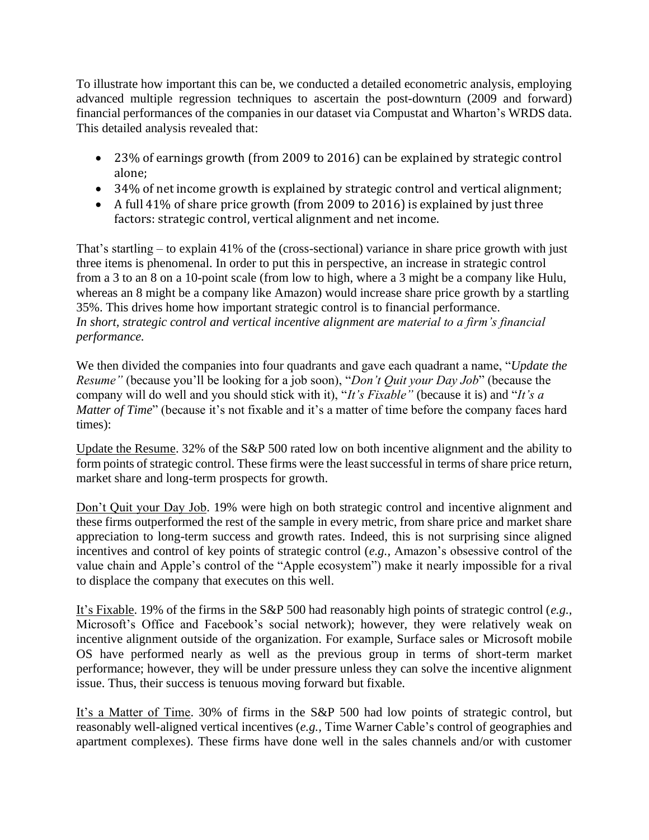To illustrate how important this can be, we conducted a detailed econometric analysis, employing advanced multiple regression techniques to ascertain the post-downturn (2009 and forward) financial performances of the companies in our dataset via Compustat and Wharton's WRDS data. This detailed analysis revealed that:

- 23% of earnings growth (from 2009 to 2016) can be explained by strategic control alone;
- 34% of net income growth is explained by strategic control and vertical alignment;
- A full 41% of share price growth (from 2009 to 2016) is explained by just three factors: strategic control, vertical alignment and net income.

That's startling – to explain 41% of the (cross-sectional) variance in share price growth with just three items is phenomenal. In order to put this in perspective, an increase in strategic control from a 3 to an 8 on a 10-point scale (from low to high, where a 3 might be a company like Hulu, whereas an 8 might be a company like Amazon) would increase share price growth by a startling 35%. This drives home how important strategic control is to financial performance. *In short, strategic control and vertical incentive alignment are material to a firm's financial performance.*

We then divided the companies into four quadrants and gave each quadrant a name, "*Update the Resume"* (because you'll be looking for a job soon), "*Don't Quit your Day Job*" (because the company will do well and you should stick with it), "*It's Fixable"* (because it is) and "*It's a Matter of Time*" (because it's not fixable and it's a matter of time before the company faces hard times):

Update the Resume. 32% of the S&P 500 rated low on both incentive alignment and the ability to form points of strategic control. These firms were the least successful in terms of share price return, market share and long-term prospects for growth.

Don't Quit your Day Job. 19% were high on both strategic control and incentive alignment and these firms outperformed the rest of the sample in every metric, from share price and market share appreciation to long-term success and growth rates. Indeed, this is not surprising since aligned incentives and control of key points of strategic control (*e.g.,* Amazon's obsessive control of the value chain and Apple's control of the "Apple ecosystem") make it nearly impossible for a rival to displace the company that executes on this well.

It's Fixable. 19% of the firms in the S&P 500 had reasonably high points of strategic control (*e.g.,* Microsoft's Office and Facebook's social network); however, they were relatively weak on incentive alignment outside of the organization. For example, Surface sales or Microsoft mobile OS have performed nearly as well as the previous group in terms of short-term market performance; however, they will be under pressure unless they can solve the incentive alignment issue. Thus, their success is tenuous moving forward but fixable.

It's a Matter of Time. 30% of firms in the S&P 500 had low points of strategic control, but reasonably well-aligned vertical incentives (*e.g.,* Time Warner Cable's control of geographies and apartment complexes). These firms have done well in the sales channels and/or with customer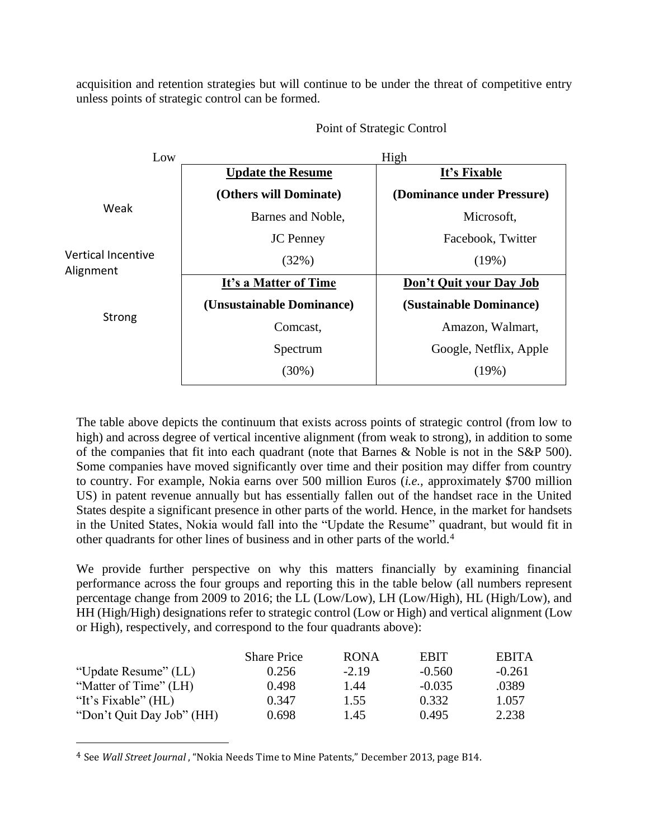acquisition and retention strategies but will continue to be under the threat of competitive entry unless points of strategic control can be formed.



Point of Strategic Control

The table above depicts the continuum that exists across points of strategic control (from low to high) and across degree of vertical incentive alignment (from weak to strong), in addition to some of the companies that fit into each quadrant (note that Barnes & Noble is not in the S&P 500). Some companies have moved significantly over time and their position may differ from country to country. For example, Nokia earns over 500 million Euros (*i.e.,* approximately \$700 million US) in patent revenue annually but has essentially fallen out of the handset race in the United States despite a significant presence in other parts of the world. Hence, in the market for handsets in the United States, Nokia would fall into the "Update the Resume" quadrant, but would fit in other quadrants for other lines of business and in other parts of the world.<sup>4</sup>

We provide further perspective on why this matters financially by examining financial performance across the four groups and reporting this in the table below (all numbers represent percentage change from 2009 to 2016; the LL (Low/Low), LH (Low/High), HL (High/Low), and HH (High/High) designations refer to strategic control (Low or High) and vertical alignment (Low or High), respectively, and correspond to the four quadrants above):

|                           | <b>Share Price</b> | <b>RONA</b> | <b>EBIT</b> | <b>EBITA</b> |
|---------------------------|--------------------|-------------|-------------|--------------|
| "Update Resume" (LL)      | 0.256              | $-2.19$     | $-0.560$    | $-0.261$     |
| "Matter of Time" (LH)     | 0.498              | 1.44        | $-0.035$    | .0389        |
| "It's Fixable" $(HL)$     | 0.347              | 1.55        | 0.332       | 1.057        |
| "Don't Quit Day Job" (HH) | 0.698              | 1.45        | 0.495       | 2.238        |

<sup>4</sup> See *Wall Street Journal* , "Nokia Needs Time to Mine Patents," December 2013, page B14.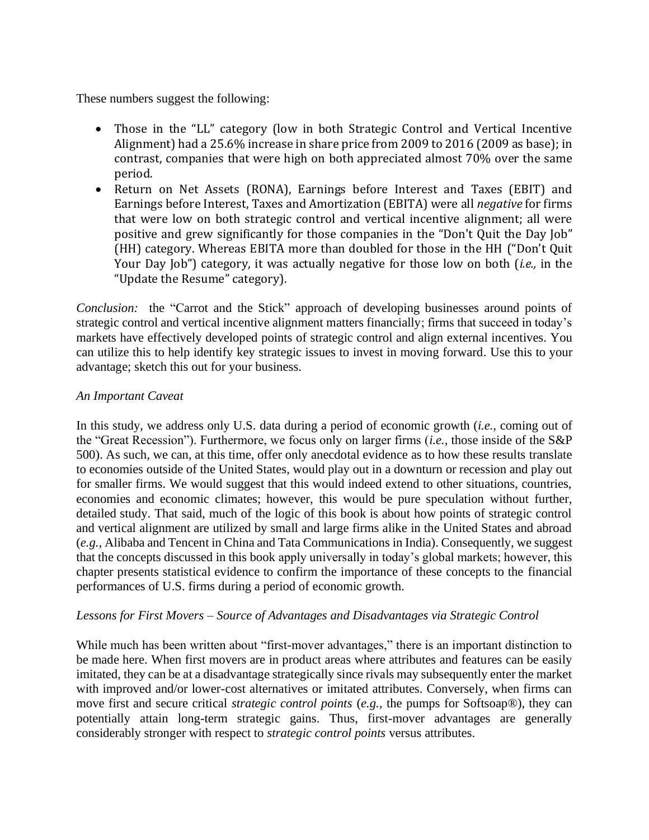These numbers suggest the following:

- Those in the "LL" category (low in both Strategic Control and Vertical Incentive Alignment) had a 25.6% increase in share price from 2009 to 2016 (2009 as base); in contrast, companies that were high on both appreciated almost 70% over the same period.
- Return on Net Assets (RONA), Earnings before Interest and Taxes (EBIT) and Earnings before Interest, Taxes and Amortization (EBITA) were all *negative* for firms that were low on both strategic control and vertical incentive alignment; all were positive and grew significantly for those companies in the "Don't Quit the Day Job" (HH) category. Whereas EBITA more than doubled for those in the HH ("Don't Quit Your Day Job") category, it was actually negative for those low on both (*i.e.,* in the "Update the Resume" category).

*Conclusion:* the "Carrot and the Stick" approach of developing businesses around points of strategic control and vertical incentive alignment matters financially; firms that succeed in today's markets have effectively developed points of strategic control and align external incentives. You can utilize this to help identify key strategic issues to invest in moving forward. Use this to your advantage; sketch this out for your business.

#### *An Important Caveat*

In this study, we address only U.S. data during a period of economic growth (*i.e.,* coming out of the "Great Recession"). Furthermore, we focus only on larger firms (*i.e.,* those inside of the S&P 500). As such, we can, at this time, offer only anecdotal evidence as to how these results translate to economies outside of the United States, would play out in a downturn or recession and play out for smaller firms. We would suggest that this would indeed extend to other situations, countries, economies and economic climates; however, this would be pure speculation without further, detailed study. That said, much of the logic of this book is about how points of strategic control and vertical alignment are utilized by small and large firms alike in the United States and abroad (*e.g.,* Alibaba and Tencent in China and Tata Communications in India). Consequently, we suggest that the concepts discussed in this book apply universally in today's global markets; however, this chapter presents statistical evidence to confirm the importance of these concepts to the financial performances of U.S. firms during a period of economic growth.

## *Lessons for First Movers – Source of Advantages and Disadvantages via Strategic Control*

While much has been written about "first-mover advantages," there is an important distinction to be made here. When first movers are in product areas where attributes and features can be easily imitated, they can be at a disadvantage strategically since rivals may subsequently enter the market with improved and/or lower-cost alternatives or imitated attributes. Conversely, when firms can move first and secure critical *strategic control points* (*e.g.,* the pumps for Softsoap®), they can potentially attain long-term strategic gains. Thus, first-mover advantages are generally considerably stronger with respect to *strategic control points* versus attributes.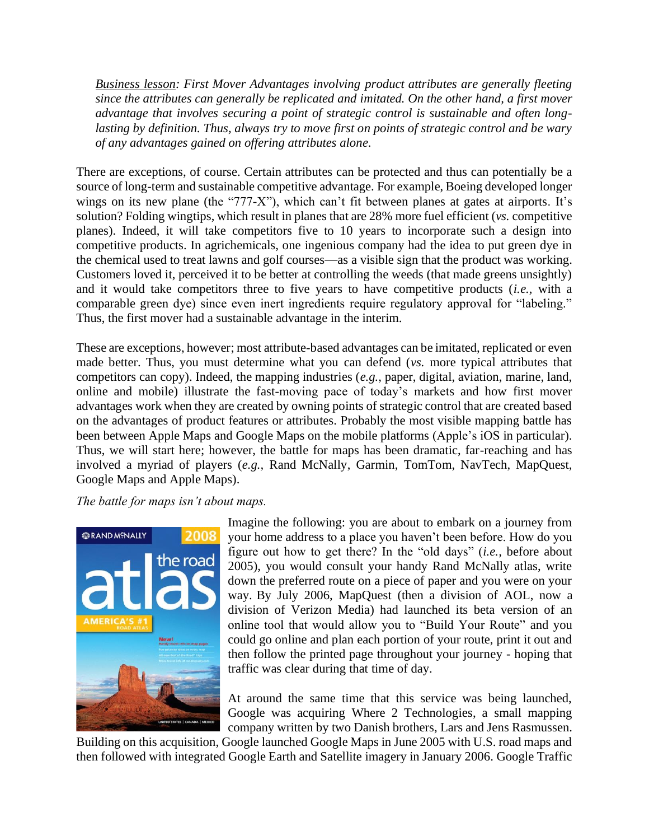*Business lesson: First Mover Advantages involving product attributes are generally fleeting since the attributes can generally be replicated and imitated. On the other hand, a first mover advantage that involves securing a point of strategic control is sustainable and often longlasting by definition. Thus, always try to move first on points of strategic control and be wary of any advantages gained on offering attributes alone.*

There are exceptions, of course. Certain attributes can be protected and thus can potentially be a source of long-term and sustainable competitive advantage. For example, Boeing developed longer wings on its new plane (the "777-X"), which can't fit between planes at gates at airports. It's solution? Folding wingtips, which result in planes that are 28% more fuel efficient (*vs.* competitive planes). Indeed, it will take competitors five to 10 years to incorporate such a design into competitive products. In agrichemicals, one ingenious company had the idea to put green dye in the chemical used to treat lawns and golf courses—as a visible sign that the product was working. Customers loved it, perceived it to be better at controlling the weeds (that made greens unsightly) and it would take competitors three to five years to have competitive products (*i.e.,* with a comparable green dye) since even inert ingredients require regulatory approval for "labeling." Thus, the first mover had a sustainable advantage in the interim.

These are exceptions, however; most attribute-based advantages can be imitated, replicated or even made better. Thus, you must determine what you can defend (*vs.* more typical attributes that competitors can copy). Indeed, the mapping industries (*e.g.,* paper, digital, aviation, marine, land, online and mobile) illustrate the fast-moving pace of today's markets and how first mover advantages work when they are created by owning points of strategic control that are created based on the advantages of product features or attributes. Probably the most visible mapping battle has been between Apple Maps and Google Maps on the mobile platforms (Apple's iOS in particular). Thus, we will start here; however, the battle for maps has been dramatic, far-reaching and has involved a myriad of players (*e.g.,* Rand McNally, Garmin, TomTom, NavTech, MapQuest, Google Maps and Apple Maps).

*The battle for maps isn't about maps.*



Imagine the following: you are about to embark on a journey from your home address to a place you haven't been before. How do you figure out how to get there? In the "old days" (*i.e.,* before about 2005), you would consult your handy Rand McNally atlas, write down the preferred route on a piece of paper and you were on your way. By July 2006, MapQuest (then a division of AOL, now a division of Verizon Media) had launched its beta version of an online tool that would allow you to "Build Your Route" and you could go online and plan each portion of your route, print it out and then follow the printed page throughout your journey - hoping that traffic was clear during that time of day.

At around the same time that this service was being launched, Google was acquiring Where 2 Technologies, a small mapping company written by two Danish brothers, Lars and Jens Rasmussen.

Building on this acquisition, Google launched Google Maps in June 2005 with U.S. road maps and then followed with integrated Google Earth and Satellite imagery in January 2006. Google Traffic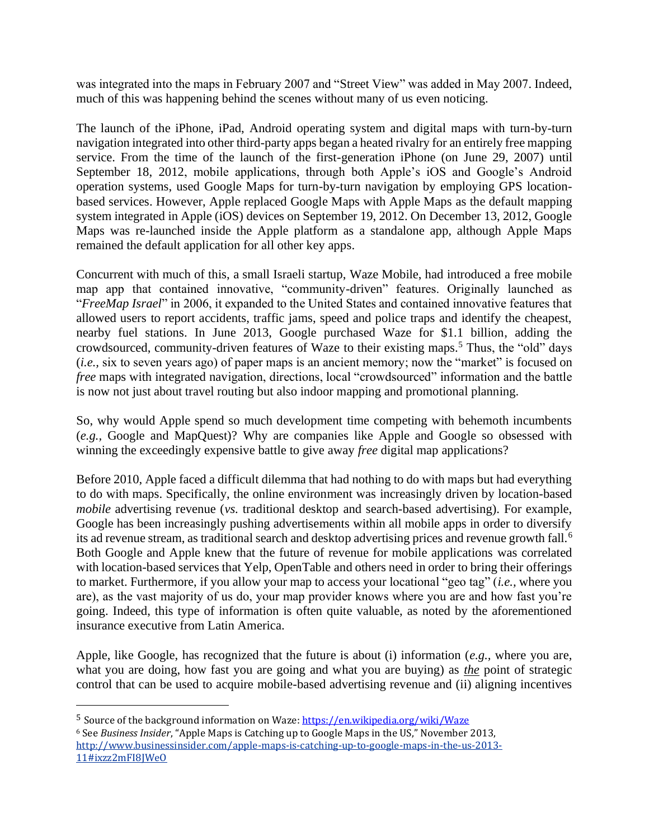was integrated into the maps in February 2007 and "Street View" was added in May 2007. Indeed, much of this was happening behind the scenes without many of us even noticing.

The launch of the iPhone, iPad, Android operating system and digital maps with turn-by-turn navigation integrated into other third-party apps began a heated rivalry for an entirely free mapping service. From the time of the launch of the first-generation iPhone (on June 29, 2007) until September 18, 2012, mobile applications, through both Apple's iOS and Google's Android operation systems, used Google Maps for turn-by-turn navigation by employing GPS locationbased services. However, Apple replaced Google Maps with Apple Maps as the default mapping system integrated in Apple (iOS) devices on September 19, 2012. On December 13, 2012, Google Maps was re-launched inside the Apple platform as a standalone app, although Apple Maps remained the default application for all other key apps.

Concurrent with much of this, a small Israeli startup, Waze Mobile, had introduced a free mobile map app that contained innovative, "community-driven" features. Originally launched as "*FreeMap Israel*" in 2006, it expanded to the United States and contained innovative features that allowed users to report accidents, traffic jams, speed and police traps and identify the cheapest, nearby fuel stations. In June 2013, Google purchased Waze for \$1.1 billion, adding the crowdsourced, community-driven features of Waze to their existing maps.<sup>5</sup> Thus, the "old" days (*i.e.,* six to seven years ago) of paper maps is an ancient memory; now the "market" is focused on *free* maps with integrated navigation, directions, local "crowdsourced" information and the battle is now not just about travel routing but also indoor mapping and promotional planning.

So, why would Apple spend so much development time competing with behemoth incumbents (*e.g.,* Google and MapQuest)? Why are companies like Apple and Google so obsessed with winning the exceedingly expensive battle to give away *free* digital map applications?

Before 2010, Apple faced a difficult dilemma that had nothing to do with maps but had everything to do with maps. Specifically, the online environment was increasingly driven by location-based *mobile* advertising revenue (*vs.* traditional desktop and search-based advertising). For example, Google has been increasingly pushing advertisements within all mobile apps in order to diversify its ad revenue stream, as traditional search and desktop advertising prices and revenue growth fall.<sup>6</sup> Both Google and Apple knew that the future of revenue for mobile applications was correlated with location-based services that Yelp, OpenTable and others need in order to bring their offerings to market. Furthermore, if you allow your map to access your locational "geo tag" (*i.e.,* where you are), as the vast majority of us do, your map provider knows where you are and how fast you're going. Indeed, this type of information is often quite valuable, as noted by the aforementioned insurance executive from Latin America.

Apple, like Google, has recognized that the future is about (i) information (*e.g.,* where you are, what you are doing, how fast you are going and what you are buying) as *the* point of strategic control that can be used to acquire mobile-based advertising revenue and (ii) aligning incentives

<sup>&</sup>lt;sup>5</sup> Source of the background information on Waze[: https://en.wikipedia.org/wiki/Waze](https://en.wikipedia.org/wiki/Waze) <sup>6</sup> See *Business Insider*, "Apple Maps is Catching up to Google Maps in the US," November 2013,

[http://www.businessinsider.com/apple-maps-is-catching-up-to-google-maps-in-the-us-2013-](http://www.businessinsider.com/apple-maps-is-catching-up-to-google-maps-in-the-us-2013-11#ixzz2mFI8JWeO) [11#ixzz2mFI8JWeO](http://www.businessinsider.com/apple-maps-is-catching-up-to-google-maps-in-the-us-2013-11#ixzz2mFI8JWeO)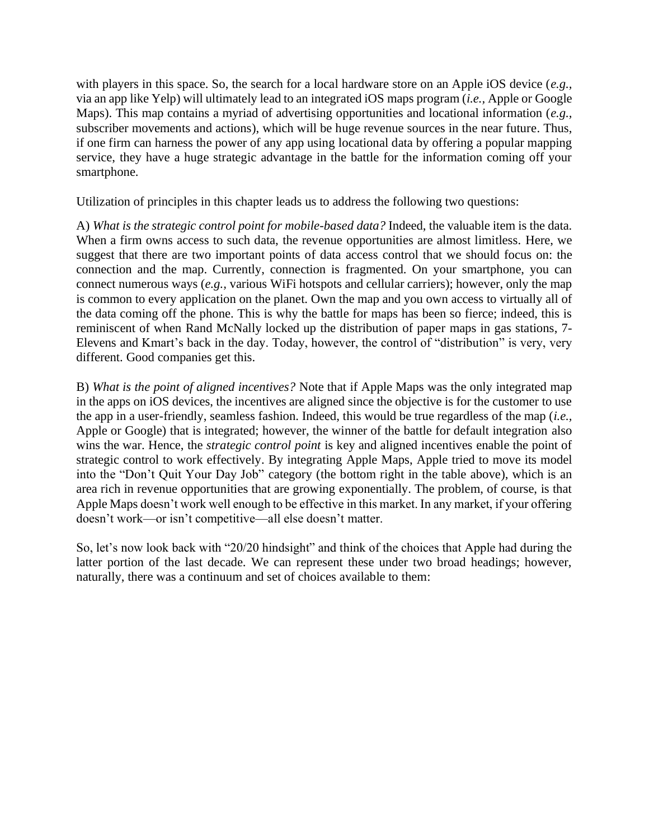with players in this space. So, the search for a local hardware store on an Apple iOS device (*e.g.,* via an app like Yelp) will ultimately lead to an integrated iOS maps program (*i.e.,* Apple or Google Maps). This map contains a myriad of advertising opportunities and locational information (*e.g.,* subscriber movements and actions), which will be huge revenue sources in the near future. Thus, if one firm can harness the power of any app using locational data by offering a popular mapping service, they have a huge strategic advantage in the battle for the information coming off your smartphone.

Utilization of principles in this chapter leads us to address the following two questions:

A) *What is the strategic control point for mobile-based data?* Indeed, the valuable item is the data. When a firm owns access to such data, the revenue opportunities are almost limitless. Here, we suggest that there are two important points of data access control that we should focus on: the connection and the map. Currently, connection is fragmented. On your smartphone, you can connect numerous ways (*e.g.,* various WiFi hotspots and cellular carriers); however, only the map is common to every application on the planet. Own the map and you own access to virtually all of the data coming off the phone. This is why the battle for maps has been so fierce; indeed, this is reminiscent of when Rand McNally locked up the distribution of paper maps in gas stations, 7- Elevens and Kmart's back in the day. Today, however, the control of "distribution" is very, very different. Good companies get this.

B) *What is the point of aligned incentives?* Note that if Apple Maps was the only integrated map in the apps on iOS devices, the incentives are aligned since the objective is for the customer to use the app in a user-friendly, seamless fashion. Indeed, this would be true regardless of the map (*i.e.,* Apple or Google) that is integrated; however, the winner of the battle for default integration also wins the war. Hence, the *strategic control point* is key and aligned incentives enable the point of strategic control to work effectively. By integrating Apple Maps, Apple tried to move its model into the "Don't Quit Your Day Job" category (the bottom right in the table above), which is an area rich in revenue opportunities that are growing exponentially. The problem, of course, is that Apple Maps doesn't work well enough to be effective in this market. In any market, if your offering doesn't work—or isn't competitive—all else doesn't matter.

So, let's now look back with "20/20 hindsight" and think of the choices that Apple had during the latter portion of the last decade. We can represent these under two broad headings; however, naturally, there was a continuum and set of choices available to them: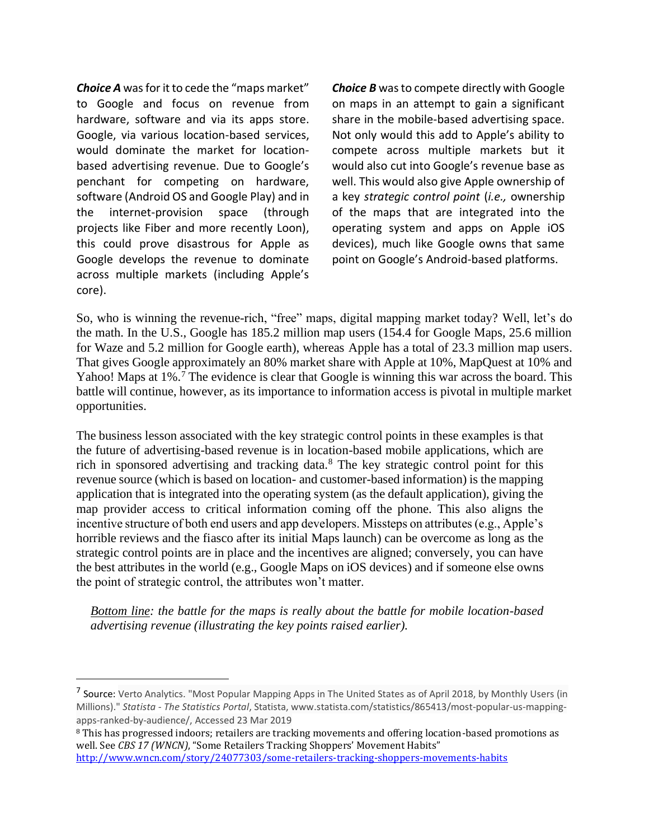*Choice A* was for it to cede the "maps market" to Google and focus on revenue from hardware, software and via its apps store. Google, via various location-based services, would dominate the market for locationbased advertising revenue. Due to Google's penchant for competing on hardware, software (Android OS and Google Play) and in the internet-provision space (through projects like Fiber and more recently Loon), this could prove disastrous for Apple as Google develops the revenue to dominate across multiple markets (including Apple's core).

*Choice B* was to compete directly with Google on maps in an attempt to gain a significant share in the mobile-based advertising space. Not only would this add to Apple's ability to compete across multiple markets but it would also cut into Google's revenue base as well. This would also give Apple ownership of a key *strategic control point* (*i.e.,* ownership of the maps that are integrated into the operating system and apps on Apple iOS devices), much like Google owns that same point on Google's Android-based platforms.

So, who is winning the revenue-rich, "free" maps, digital mapping market today? Well, let's do the math. In the U.S., Google has 185.2 million map users (154.4 for Google Maps, 25.6 million for Waze and 5.2 million for Google earth), whereas Apple has a total of 23.3 million map users. That gives Google approximately an 80% market share with Apple at 10%, MapQuest at 10% and Yahoo! Maps at 1%.<sup>7</sup> The evidence is clear that Google is winning this war across the board. This battle will continue, however, as its importance to information access is pivotal in multiple market opportunities.

The business lesson associated with the key strategic control points in these examples is that the future of advertising-based revenue is in location-based mobile applications, which are rich in sponsored advertising and tracking data.<sup>8</sup> The key strategic control point for this revenue source (which is based on location- and customer-based information) is the mapping application that is integrated into the operating system (as the default application), giving the map provider access to critical information coming off the phone. This also aligns the incentive structure of both end users and app developers. Missteps on attributes (e.g., Apple's horrible reviews and the fiasco after its initial Maps launch) can be overcome as long as the strategic control points are in place and the incentives are aligned; conversely, you can have the best attributes in the world (e.g., Google Maps on iOS devices) and if someone else owns the point of strategic control, the attributes won't matter.

*Bottom line: the battle for the maps is really about the battle for mobile location-based advertising revenue (illustrating the key points raised earlier).*

<sup>&</sup>lt;sup>7</sup> Source: Verto Analytics. "Most Popular Mapping Apps in The United States as of April 2018, by Monthly Users (in Millions)." *Statista - The Statistics Portal*, Statista, www.statista.com/statistics/865413/most-popular-us-mappingapps-ranked-by-audience/, Accessed 23 Mar 2019

<sup>8</sup> This has progressed indoors; retailers are tracking movements and offering location-based promotions as well. See *CBS 17 (WNCN)*, "Some Retailers Tracking Shoppers' Movement Habits" <http://www.wncn.com/story/24077303/some-retailers-tracking-shoppers-movements-habits>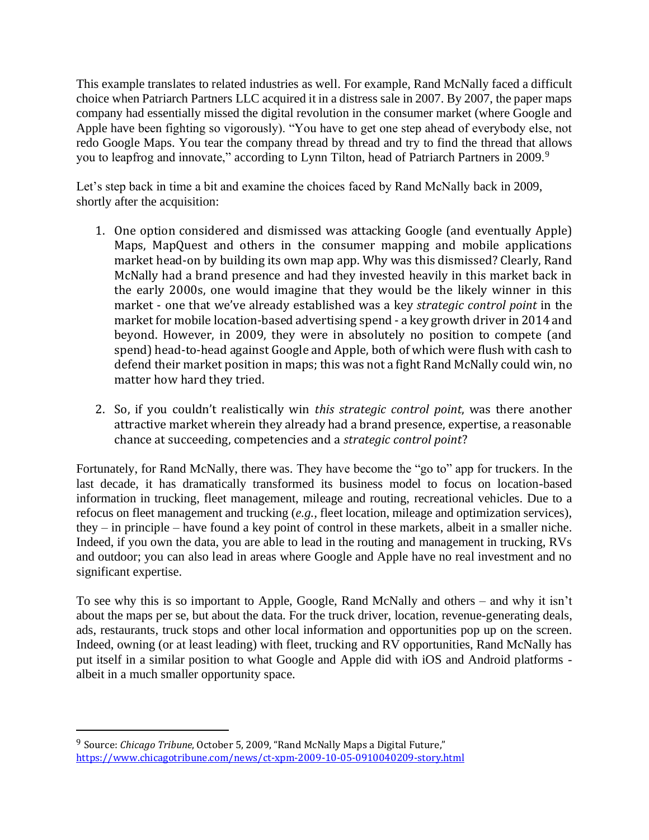This example translates to related industries as well. For example, Rand McNally faced a difficult choice when Patriarch Partners LLC acquired it in a distress sale in 2007. By 2007, the paper maps company had essentially missed the digital revolution in the consumer market (where Google and Apple have been fighting so vigorously). "You have to get one step ahead of everybody else, not redo Google Maps. You tear the company thread by thread and try to find the thread that allows you to leapfrog and innovate," according to Lynn Tilton, head of Patriarch Partners in 2009.<sup>9</sup>

Let's step back in time a bit and examine the choices faced by Rand McNally back in 2009, shortly after the acquisition:

- 1. One option considered and dismissed was attacking Google (and eventually Apple) Maps, MapQuest and others in the consumer mapping and mobile applications market head-on by building its own map app. Why was this dismissed? Clearly, Rand McNally had a brand presence and had they invested heavily in this market back in the early 2000s, one would imagine that they would be the likely winner in this market - one that we've already established was a key *strategic control point* in the market for mobile location-based advertising spend - a key growth driver in 2014 and beyond. However, in 2009, they were in absolutely no position to compete (and spend) head-to-head against Google and Apple, both of which were flush with cash to defend their market position in maps; this was not a fight Rand McNally could win, no matter how hard they tried.
- 2. So, if you couldn't realistically win *this strategic control point*, was there another attractive market wherein they already had a brand presence, expertise, a reasonable chance at succeeding, competencies and a *strategic control point*?

Fortunately, for Rand McNally, there was. They have become the "go to" app for truckers. In the last decade, it has dramatically transformed its business model to focus on location-based information in trucking, fleet management, mileage and routing, recreational vehicles. Due to a refocus on fleet management and trucking (*e.g.,* fleet location, mileage and optimization services), they – in principle – have found a key point of control in these markets, albeit in a smaller niche. Indeed, if you own the data, you are able to lead in the routing and management in trucking, RVs and outdoor; you can also lead in areas where Google and Apple have no real investment and no significant expertise.

To see why this is so important to Apple, Google, Rand McNally and others – and why it isn't about the maps per se, but about the data. For the truck driver, location, revenue-generating deals, ads, restaurants, truck stops and other local information and opportunities pop up on the screen. Indeed, owning (or at least leading) with fleet, trucking and RV opportunities, Rand McNally has put itself in a similar position to what Google and Apple did with iOS and Android platforms albeit in a much smaller opportunity space.

<sup>9</sup> Source: *Chicago Tribune*, October 5, 2009, "Rand McNally Maps a Digital Future," <https://www.chicagotribune.com/news/ct-xpm-2009-10-05-0910040209-story.html>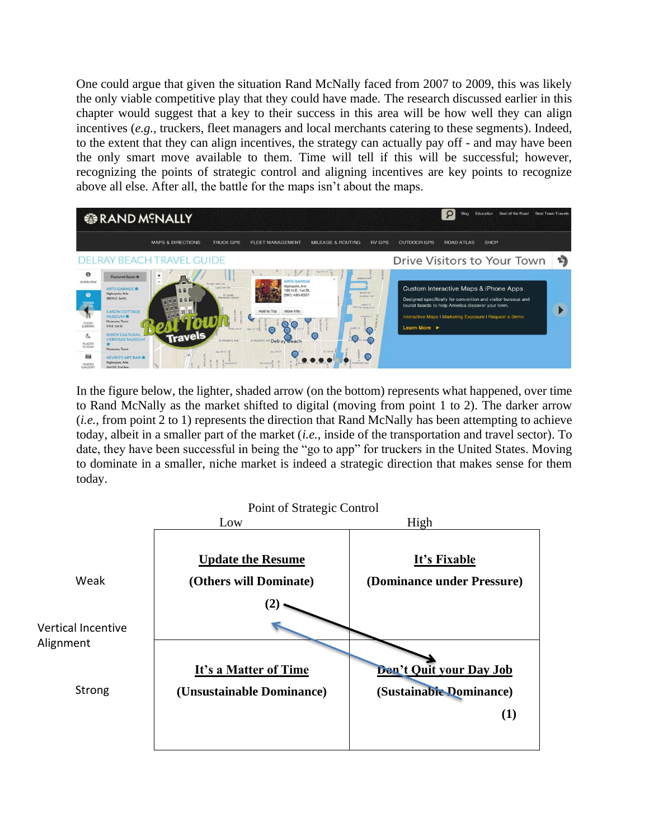One could argue that given the situation Rand McNally faced from 2007 to 2009, this was likely the only viable competitive play that they could have made. The research discussed earlier in this chapter would suggest that a key to their success in this area will be how well they can align incentives (*e.g.*, truckers, fleet managers and local merchants catering to these segments). Indeed, to the extent that they can align incentives, the strategy can actually pay off - and may have been the only smart move available to them. Time will tell if this will be successful; however, recognizing the points of strategic control and aligning incentives are key points to recognize above all else. After all, the battle for the maps isn't about the maps.



In the figure below, the lighter, shaded arrow (on the bottom) represents what happened, over time to Rand McNally as the market shifted to digital (moving from point 1 to 2). The darker arrow (*i.e.,* from point 2 to 1) represents the direction that Rand McNally has been attempting to achieve today, albeit in a smaller part of the market (*i.e.,* inside of the transportation and travel sector). To date, they have been successful in being the "go to app" for truckers in the United States. Moving to dominate in a smaller, niche market is indeed a strategic direction that makes sense for them today.

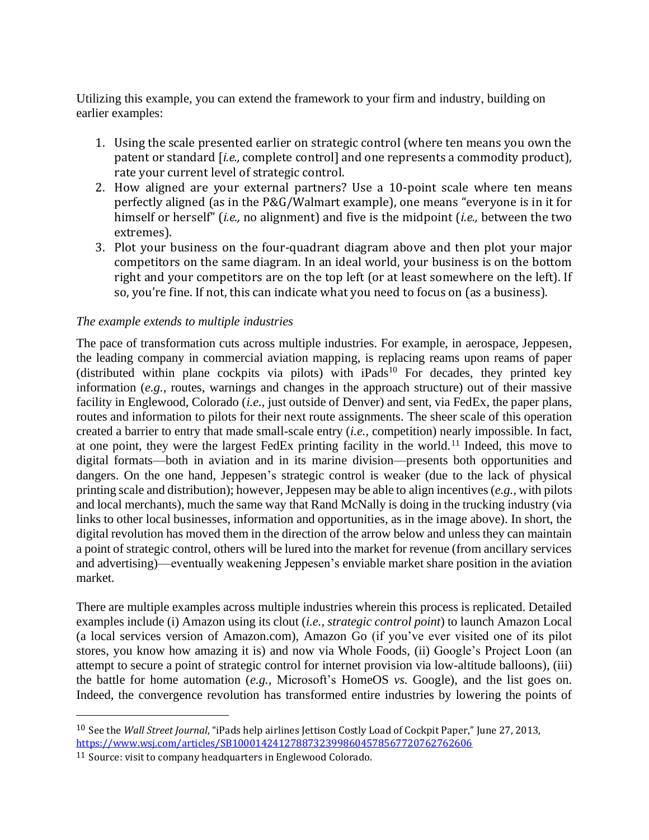Utilizing this example, you can extend the framework to your firm and industry, building on earlier examples:

- 1. Using the scale presented earlier on strategic control (where ten means you own the patent or standard [*i.e.,* complete control] and one represents a commodity product), rate your current level of strategic control.
- 2. How aligned are your external partners? Use a 10-point scale where ten means perfectly aligned (as in the P&G/Walmart example), one means "everyone is in it for himself or herself" (*i.e.,* no alignment) and five is the midpoint (*i.e.,* between the two extremes).
- 3. Plot your business on the four-quadrant diagram above and then plot your major competitors on the same diagram. In an ideal world, your business is on the bottom right and your competitors are on the top left (or at least somewhere on the left). If so, you're fine. If not, this can indicate what you need to focus on (as a business).

#### *The example extends to multiple industries*

The pace of transformation cuts across multiple industries. For example, in aerospace, Jeppesen, the leading company in commercial aviation mapping, is replacing reams upon reams of paper  $(distributed within plane cochpits via pilots) with iPads<sup>10</sup> For decades, they printed key$ information (*e.g.,* routes, warnings and changes in the approach structure) out of their massive facility in Englewood, Colorado (*i.e.,* just outside of Denver) and sent, via FedEx, the paper plans, routes and information to pilots for their next route assignments. The sheer scale of this operation created a barrier to entry that made small-scale entry (*i.e.,* competition) nearly impossible. In fact, at one point, they were the largest FedEx printing facility in the world.<sup>11</sup> Indeed, this move to digital formats—both in aviation and in its marine division—presents both opportunities and dangers. On the one hand, Jeppesen's strategic control is weaker (due to the lack of physical printing scale and distribution); however, Jeppesen may be able to align incentives (*e.g.,* with pilots and local merchants), much the same way that Rand McNally is doing in the trucking industry (via links to other local businesses, information and opportunities, as in the image above). In short, the digital revolution has moved them in the direction of the arrow below and unless they can maintain a point of strategic control, others will be lured into the market for revenue (from ancillary services and advertising)—eventually weakening Jeppesen's enviable market share position in the aviation market.

There are multiple examples across multiple industries wherein this process is replicated. Detailed examples include (i) Amazon using its clout (*i.e., strategic control point*) to launch Amazon Local (a local services version of Amazon.com), Amazon Go (if you've ever visited one of its pilot stores, you know how amazing it is) and now via Whole Foods, (ii) Google's Project Loon (an attempt to secure a point of strategic control for internet provision via low-altitude balloons), (iii) the battle for home automation (*e.g.,* Microsoft's HomeOS *vs.* Google), and the list goes on. Indeed, the convergence revolution has transformed entire industries by lowering the points of

<sup>10</sup> See the *Wall Street Journal*, "iPads help airlines Jettison Costly Load of Cockpit Paper," June 27, 2013, <https://www.wsj.com/articles/SB10001424127887323998604578567720762762606>

<sup>11</sup> Source: visit to company headquarters in Englewood Colorado.